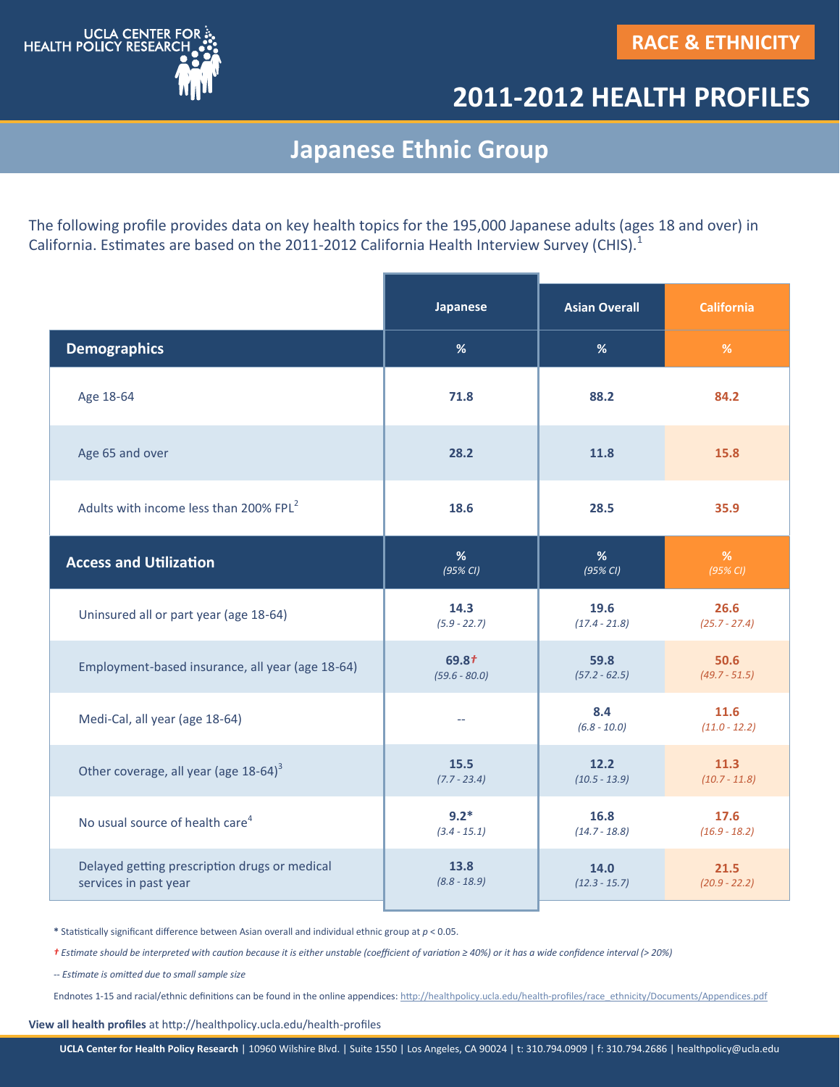

## **2011-2012 HEALTH PROFILES**

## **Japanese Ethnic Group**

The following profile provides data on key health topics for the 195,000 Japanese adults (ages 18 and over) in California. Estimates are based on the 2011-2012 California Health Interview Survey (CHIS).<sup>1</sup>

|                                                    | <b>Japanese</b> | <b>Asian Overall</b>  | <b>California</b>       |
|----------------------------------------------------|-----------------|-----------------------|-------------------------|
| <b>Demographics</b>                                | %               | %                     | $\%$                    |
| Age 18-64                                          | 71.8            | 88.2                  | 84.2                    |
| Age 65 and over                                    | 28.2            | 11.8                  | 15.8                    |
| Adults with income less than 200% FPL <sup>2</sup> | 18.6            | 28.5                  | 35.9                    |
| <b>Access and Utilization</b>                      | %               | %                     | %                       |
|                                                    | $(95\% CI)$     | $(95\%$ CI)           | (95% CI)                |
| Uninsured all or part year (age 18-64)             | 14.3            | 19.6                  | 26.6                    |
|                                                    | $(5.9 - 22.7)$  | $(17.4 - 21.8)$       | $(25.7 - 27.4)$         |
| Employment-based insurance, all year (age 18-64)   | $69.8+$         | 59.8                  | 50.6                    |
|                                                    | $(59.6 - 80.0)$ | $(57.2 - 62.5)$       | $(49.7 - 51.5)$         |
| Medi-Cal, all year (age 18-64)                     | $\overline{a}$  | 8.4<br>$(6.8 - 10.0)$ | 11.6<br>$(11.0 - 12.2)$ |
| Other coverage, all year (age 18-64) <sup>3</sup>  | 15.5            | 12.2                  | 11.3                    |
|                                                    | $(7.7 - 23.4)$  | $(10.5 - 13.9)$       | $(10.7 - 11.8)$         |
| No usual source of health care <sup>4</sup>        | $9.2*$          | 16.8                  | 17.6                    |
|                                                    | $(3.4 - 15.1)$  | $(14.7 - 18.8)$       | $(16.9 - 18.2)$         |
| Delayed getting prescription drugs or medical      | 13.8            | 14.0                  | 21.5                    |
| services in past year                              | $(8.8 - 18.9)$  | $(12.3 - 15.7)$       | $(20.9 - 22.2)$         |

**\*** Statistically significant difference between Asian overall and individual ethnic group at *p* < 0.05.

*† Estimate should be interpreted with caution because it is either unstable (coefficient of variation ≥ 40%) or it has a wide confidence interval ( 20%)*

*-- Estimate is omitted due to small sample size* 

Endnotes 1-15 and racial/ethnic definitions can be found in the online appendices: http://healthpolicy.ucla.edu/health-[profiles/race\\_ethnicity/Documents/Appendices.pdf](http://healthpolicy.ucla.edu/health-profiles/race_ethnicity/Documents/Appendices.pdf)

**View all health profiles** at http://healthpolicy.ucla.edu/health-profiles

**UCLA Center for Health Policy Research** | 10960 Wilshire Blvd. | Suite 1550 | Los Angeles, CA 90024 | t: 310.794.0909 | f: 310.794.2686 | healthpolicy@ucla.edu